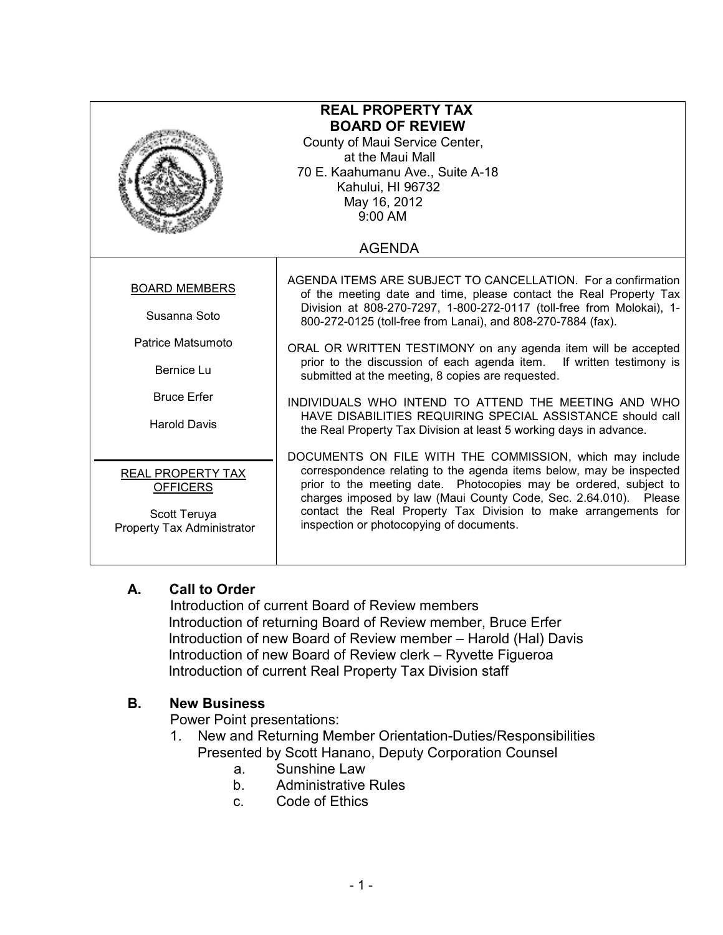| <b>REAL PROPERTY TAX</b><br><b>BOARD OF REVIEW</b><br>County of Maui Service Center,<br>at the Maui Mall<br>70 E. Kaahumanu Ave., Suite A-18<br>Kahului, HI 96732<br>May 16, 2012<br>9:00 AM |                                                                                                                                                                                                                                                                                                                                                                                                                                                                                                                                                                                                                                                                       |
|----------------------------------------------------------------------------------------------------------------------------------------------------------------------------------------------|-----------------------------------------------------------------------------------------------------------------------------------------------------------------------------------------------------------------------------------------------------------------------------------------------------------------------------------------------------------------------------------------------------------------------------------------------------------------------------------------------------------------------------------------------------------------------------------------------------------------------------------------------------------------------|
| <b>AGENDA</b>                                                                                                                                                                                |                                                                                                                                                                                                                                                                                                                                                                                                                                                                                                                                                                                                                                                                       |
| <b>BOARD MEMBERS</b><br>Susanna Soto<br>Patrice Matsumoto<br>Bernice Lu<br><b>Bruce Erfer</b><br><b>Harold Davis</b>                                                                         | AGENDA ITEMS ARE SUBJECT TO CANCELLATION. For a confirmation<br>of the meeting date and time, please contact the Real Property Tax<br>Division at 808-270-7297, 1-800-272-0117 (toll-free from Molokai), 1-<br>800-272-0125 (toll-free from Lanai), and 808-270-7884 (fax).<br>ORAL OR WRITTEN TESTIMONY on any agenda item will be accepted<br>prior to the discussion of each agenda item. If written testimony is<br>submitted at the meeting, 8 copies are requested.<br>INDIVIDUALS WHO INTEND TO ATTEND THE MEETING AND WHO<br>HAVE DISABILITIES REQUIRING SPECIAL ASSISTANCE should call<br>the Real Property Tax Division at least 5 working days in advance. |
| REAL PROPERTY TAX<br><b>OFFICERS</b><br>Scott Teruya<br>Property Tax Administrator                                                                                                           | DOCUMENTS ON FILE WITH THE COMMISSION, which may include<br>correspondence relating to the agenda items below, may be inspected<br>prior to the meeting date. Photocopies may be ordered, subject to<br>charges imposed by law (Maui County Code, Sec. 2.64.010). Please<br>contact the Real Property Tax Division to make arrangements for<br>inspection or photocopying of documents.                                                                                                                                                                                                                                                                               |

## A. Call to Order

Introduction of current Board of Review members Introduction of returning Board of Review member, Bruce Erfer Introduction of new Board of Review member – Harold (Hal) Davis Introduction of new Board of Review clerk – Ryvette Figueroa Introduction of current Real Property Tax Division staff

## B. New Business

Power Point presentations:

- 1. New and Returning Member Orientation-Duties/Responsibilities Presented by Scott Hanano, Deputy Corporation Counsel
	- a. Sunshine Law
	- b. Administrative Rules
	- c. Code of Ethics